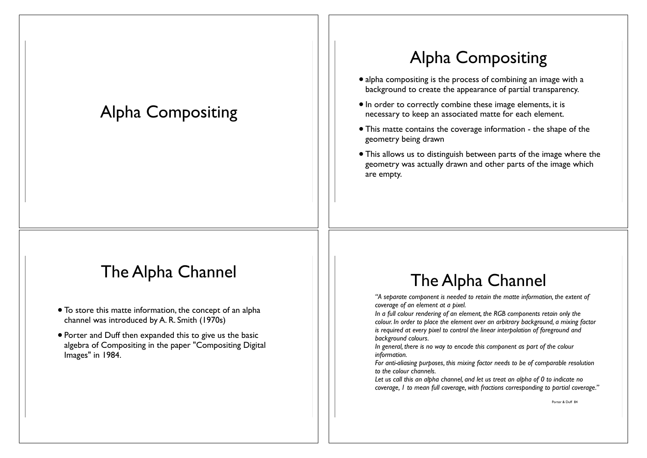## Alpha Compositing

#### The Alpha Channel

- To store this matte information, the concept of an alpha channel was introduced by A. R. Smith (1970s)
- Porter and Duff then expanded this to give us the basic algebra of Compositing in the paper "Compositing Digital Images" in 1984.

## Alpha Compositing

- alpha compositing is the process of combining an image with a background to create the appearance of partial transparency.
- •In order to correctly combine these image elements, it is necessary to keep an associated matte for each element.
- This matte contains the coverage information the shape of the geometry being drawn
- This allows us to distinguish between parts of the image where the geometry was actually drawn and other parts of the image which are empty.

### The Alpha Channel

*"A separate component is needed to retain the matte information, the extent of coverage of an element at a pixel.* 

*In a full colour rendering of an element, the RGB components retain only the colour. In order to place the element over an arbitrary background, a mixing factor is required at every pixel to control the linear interpolation of foreground and background colours.* 

*In general, there is no way to encode this component as part of the colour information.* 

*For anti-aliasing purposes, this mixing factor needs to be of comparable resolution to the colour channels.* 

*Let us call this an alpha channel, and let us treat an alpha of 0 to indicate no coverage, 1 to mean full coverage, with fractions corresponding to partial coverage."*

Porter & Duff 84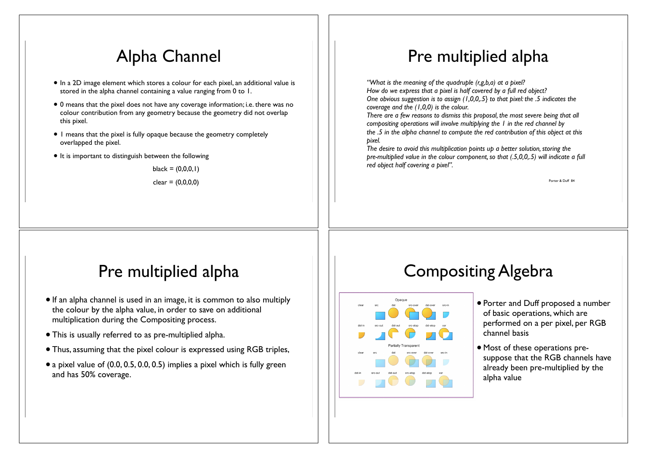## Alpha Channel

- In a 2D image element which stores a colour for each pixel, an additional value is stored in the alpha channel containing a value ranging from 0 to 1.
- 0 means that the pixel does not have any coverage information; i.e. there was no colour contribution from any geometry because the geometry did not overlap this pixel.
- 1 means that the pixel is fully opaque because the geometry completely overlapped the pixel.
- It is important to distinguish between the following

black =  $(0,0,0,1)$ 

 $clear = (0,0,0,0)$ 

### Pre multiplied alpha

- If an alpha channel is used in an image, it is common to also multiply the colour by the alpha value, in order to save on additional multiplication during the Compositing process.
- This is usually referred to as pre-multiplied alpha.
- Thus, assuming that the pixel colour is expressed using RGB triples,
- a pixel value of (0.0, 0.5, 0.0, 0.5) implies a pixel which is fully green and has 50% coverage.

# Pre multiplied alpha

*"What is the meaning of the quadruple (r,g,b,a) at a pixel? How do we express that a pixel is half covered by a full red object? One obvious suggestion is to assign (1,0,0,.5} to that pixel: the .5 indicates the coverage and the (1,0,0) is the colour.* 

*There are a few reasons to dismiss this proposal, the most severe being that all compositing operations will involve multiplying the 1 in the red channel by the .5 in the alpha channel to compute the red contribution of this object at this pixel.* 

*The desire to avoid this multiplication points up a better solution, storing the pre-multiplied value in the colour component, so that (.5,0,0,.5) will indicate a full red object half covering a pixel".*

Porter & Duff 84

### Compositing Algebra



- Porter and Duff proposed a number of basic operations, which are performed on a per pixel, per RGB channel basis
- Most of these operations presuppose that the RGB channels have already been pre-multiplied by the alpha value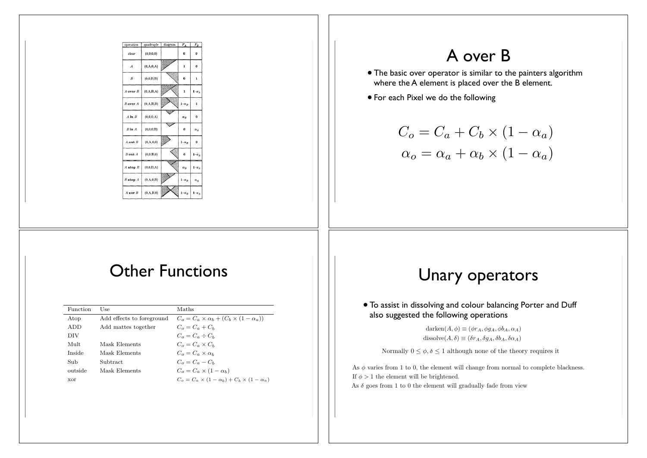| operation quadruple diagram $F_A$ $F_B$<br>$\mathbf 0$<br>$\mathbf{o}$<br>(0,0,0,0)<br>$\emph{clear}$<br>$\mathbf{o}$<br>$\boldsymbol{A}$<br>(0, A, 0, A)<br>$\mathbf{I}$<br>(0, 0, B, B)<br>$\mathbf{0}$<br>$\boldsymbol{B}$<br>$(0,\!A,\!B,\!A)$<br>$A$ over $B$<br>$1-\alpha_A$<br>(0, A, B, B)<br>$B$ over $A$<br>(0,0,0,A)<br>$A$ in $\cal B$<br>$\overline{\mathbf{0}}$<br>$\alpha_B$<br>$\pmb{0}$<br>(0,0,0,B)<br>$\boldsymbol{B}$ in $\boldsymbol{A}$<br>$\alpha_A$<br>(0, A, 0, 0)<br>$\bf{0}$<br>$\cal A$ out $\cal B$<br>$1-\alpha_B$<br>$B$ out $A$<br>(0,0,B,0)<br>$\bf{0}$<br>$1-\alpha_A$<br>(0,0,B,A)<br>$A$ atop $B$<br>$1-\alpha_A$<br>$\alpha_B$<br>(0, A, 0, B)<br>$1\text{--}\alpha_B$<br>$B$ atop $A$<br>$\alpha_A$<br>$A \text{ xor } B$<br>(0, A, B, 0)<br>$1-\alpha_B$<br>$1-\alpha_A$ | A over B<br>• The basic over operator is similar to the painters algorithm<br>where the A element is placed over the B element.<br>• For each Pixel we do the following<br>$C_o = C_a + C_b \times (1 - \alpha_a)$<br>$\alpha_o = \alpha_a + \alpha_b \times (1 - \alpha_a)$                                                                                                                                                                                                                                                                                                                      |
|-----------------------------------------------------------------------------------------------------------------------------------------------------------------------------------------------------------------------------------------------------------------------------------------------------------------------------------------------------------------------------------------------------------------------------------------------------------------------------------------------------------------------------------------------------------------------------------------------------------------------------------------------------------------------------------------------------------------------------------------------------------------------------------------------------------------|---------------------------------------------------------------------------------------------------------------------------------------------------------------------------------------------------------------------------------------------------------------------------------------------------------------------------------------------------------------------------------------------------------------------------------------------------------------------------------------------------------------------------------------------------------------------------------------------------|
| <b>Other Functions</b><br>Function<br>Use<br>Maths<br>Add effects to foreground<br>$C_o = C_a \times \alpha_b + (C_b \times (1 - \alpha_a))$<br>Atop<br>ADD<br>$C_o = C_a + C_b$<br>Add mattes together<br><b>DIV</b><br>$C_o = C_a \div C_b$<br>Mask Elements<br>$C_o = C_a \times C_b$<br>Mult<br>Mask Elements<br>$C_o = C_a \times \alpha_b$<br>Inside<br>$C_o = C_a - C_b$<br>Sub<br>Subtract<br>Mask Elements<br>$C_o = C_a \times (1 - \alpha_b)$<br>outside<br>$C_o = C_a \times (1 - \alpha_b) + C_b \times (1 - \alpha_a)$<br>xor                                                                                                                                                                                                                                                                     | Unary operators<br>. To assist in dissolving and colour balancing Porter and Duff<br>also suggested the following operations<br>darken $(A, \phi) \equiv (\phi r_A, \phi g_A, \phi b_A, \alpha_A)$<br>dissolve $(A, \delta) \equiv (\delta r_A, \delta g_A, \delta b_A, \delta \alpha_A)$<br>Normally $0 \leq \phi, \delta \leq 1$ although none of the theory requires it<br>As $\phi$ varies from 1 to 0, the element will change from normal to complete blackness.<br>If $\phi > 1$ the element will be brightened.<br>As $\delta$ goes from 1 to 0 the element will gradually fade from view |